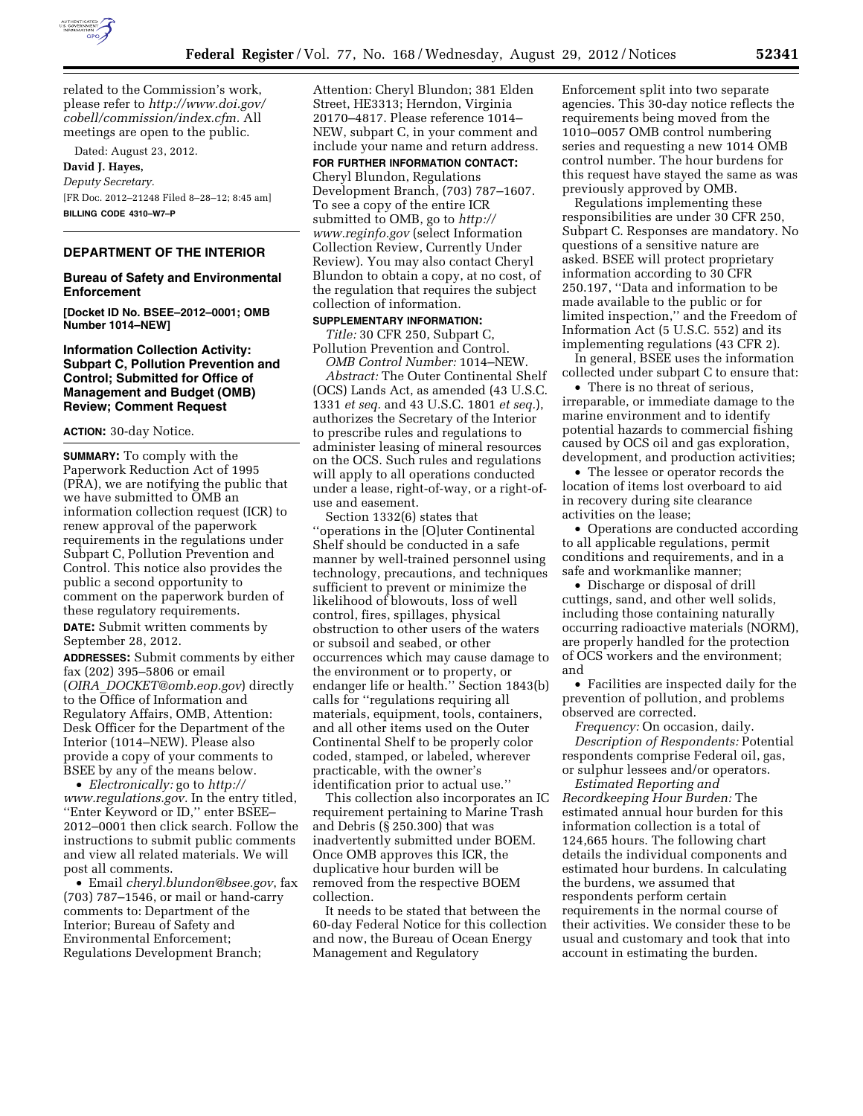

related to the Commission's work, please refer to *[http://www.doi.gov/](http://www.doi.gov/cobell/commission/index.cfm) [cobell/commission/index.cfm.](http://www.doi.gov/cobell/commission/index.cfm)* All meetings are open to the public.

Dated: August 23, 2012. **David J. Hayes,**  *Deputy Secretary.*  [FR Doc. 2012–21248 Filed 8–28–12; 8:45 am] **BILLING CODE 4310–W7–P** 

### **DEPARTMENT OF THE INTERIOR**

### **Bureau of Safety and Environmental Enforcement**

**[Docket ID No. BSEE–2012–0001; OMB Number 1014–NEW]** 

## **Information Collection Activity: Subpart C, Pollution Prevention and Control; Submitted for Office of Management and Budget (OMB) Review; Comment Request**

#### **ACTION:** 30-day Notice.

**SUMMARY:** To comply with the Paperwork Reduction Act of 1995 (PRA), we are notifying the public that we have submitted to OMB an information collection request (ICR) to renew approval of the paperwork requirements in the regulations under Subpart C, Pollution Prevention and Control. This notice also provides the public a second opportunity to comment on the paperwork burden of these regulatory requirements.

**DATE:** Submit written comments by September 28, 2012.

**ADDRESSES:** Submit comments by either fax (202) 395–5806 or email (*OIRA*\_*[DOCKET@omb.eop.gov](mailto:OIRA_DOCKET@omb.eop.gov)*) directly to the Office of Information and Regulatory Affairs, OMB, Attention: Desk Officer for the Department of the Interior (1014–NEW). Please also provide a copy of your comments to BSEE by any of the means below.

• *Electronically:* go to *[http://](http://www.regulations.gov) [www.regulations.gov.](http://www.regulations.gov)* In the entry titled, ''Enter Keyword or ID,'' enter BSEE– 2012–0001 then click search. Follow the instructions to submit public comments and view all related materials. We will post all comments.

• Email *[cheryl.blundon@bsee.gov](mailto:cheryl.blundon@bsee.gov)*, fax (703) 787–1546, or mail or hand-carry comments to: Department of the Interior; Bureau of Safety and Environmental Enforcement; Regulations Development Branch;

Attention: Cheryl Blundon; 381 Elden Street, HE3313; Herndon, Virginia 20170–4817. Please reference 1014– NEW, subpart C, in your comment and include your name and return address.

# **FOR FURTHER INFORMATION CONTACT:**

Cheryl Blundon, Regulations Development Branch, (703) 787–1607. To see a copy of the entire ICR submitted to OMB, go to *[http://](http://www.reginfo.gov)  [www.reginfo.gov](http://www.reginfo.gov)* (select Information Collection Review, Currently Under Review). You may also contact Cheryl Blundon to obtain a copy, at no cost, of the regulation that requires the subject collection of information.

#### **SUPPLEMENTARY INFORMATION:**

*Title:* 30 CFR 250, Subpart C, Pollution Prevention and Control.

*OMB Control Number:* 1014–NEW. *Abstract:* The Outer Continental Shelf (OCS) Lands Act, as amended (43 U.S.C. 1331 *et seq.* and 43 U.S.C. 1801 *et seq.*), authorizes the Secretary of the Interior to prescribe rules and regulations to administer leasing of mineral resources on the OCS. Such rules and regulations will apply to all operations conducted under a lease, right-of-way, or a right-ofuse and easement.

Section 1332(6) states that ''operations in the [O]uter Continental Shelf should be conducted in a safe manner by well-trained personnel using technology, precautions, and techniques sufficient to prevent or minimize the likelihood of blowouts, loss of well control, fires, spillages, physical obstruction to other users of the waters or subsoil and seabed, or other occurrences which may cause damage to the environment or to property, or endanger life or health.'' Section 1843(b) calls for ''regulations requiring all materials, equipment, tools, containers, and all other items used on the Outer Continental Shelf to be properly color coded, stamped, or labeled, wherever practicable, with the owner's identification prior to actual use.''

This collection also incorporates an IC requirement pertaining to Marine Trash and Debris (§ 250.300) that was inadvertently submitted under BOEM. Once OMB approves this ICR, the duplicative hour burden will be removed from the respective BOEM collection.

It needs to be stated that between the 60-day Federal Notice for this collection and now, the Bureau of Ocean Energy Management and Regulatory

Enforcement split into two separate agencies. This 30-day notice reflects the requirements being moved from the 1010–0057 OMB control numbering series and requesting a new 1014 OMB control number. The hour burdens for this request have stayed the same as was previously approved by OMB.

Regulations implementing these responsibilities are under 30 CFR 250, Subpart C. Responses are mandatory. No questions of a sensitive nature are asked. BSEE will protect proprietary information according to 30 CFR 250.197, ''Data and information to be made available to the public or for limited inspection,'' and the Freedom of Information Act (5 U.S.C. 552) and its implementing regulations (43 CFR 2).

In general, BSEE uses the information collected under subpart C to ensure that:

• There is no threat of serious, irreparable, or immediate damage to the marine environment and to identify potential hazards to commercial fishing caused by OCS oil and gas exploration, development, and production activities;

• The lessee or operator records the location of items lost overboard to aid in recovery during site clearance activities on the lease;

• Operations are conducted according to all applicable regulations, permit conditions and requirements, and in a safe and workmanlike manner;

• Discharge or disposal of drill cuttings, sand, and other well solids, including those containing naturally occurring radioactive materials (NORM), are properly handled for the protection of OCS workers and the environment; and

• Facilities are inspected daily for the prevention of pollution, and problems observed are corrected.

*Frequency:* On occasion, daily. *Description of Respondents:* Potential respondents comprise Federal oil, gas, or sulphur lessees and/or operators.

*Estimated Reporting and Recordkeeping Hour Burden:* The estimated annual hour burden for this information collection is a total of 124,665 hours. The following chart details the individual components and estimated hour burdens. In calculating the burdens, we assumed that respondents perform certain requirements in the normal course of their activities. We consider these to be usual and customary and took that into account in estimating the burden.